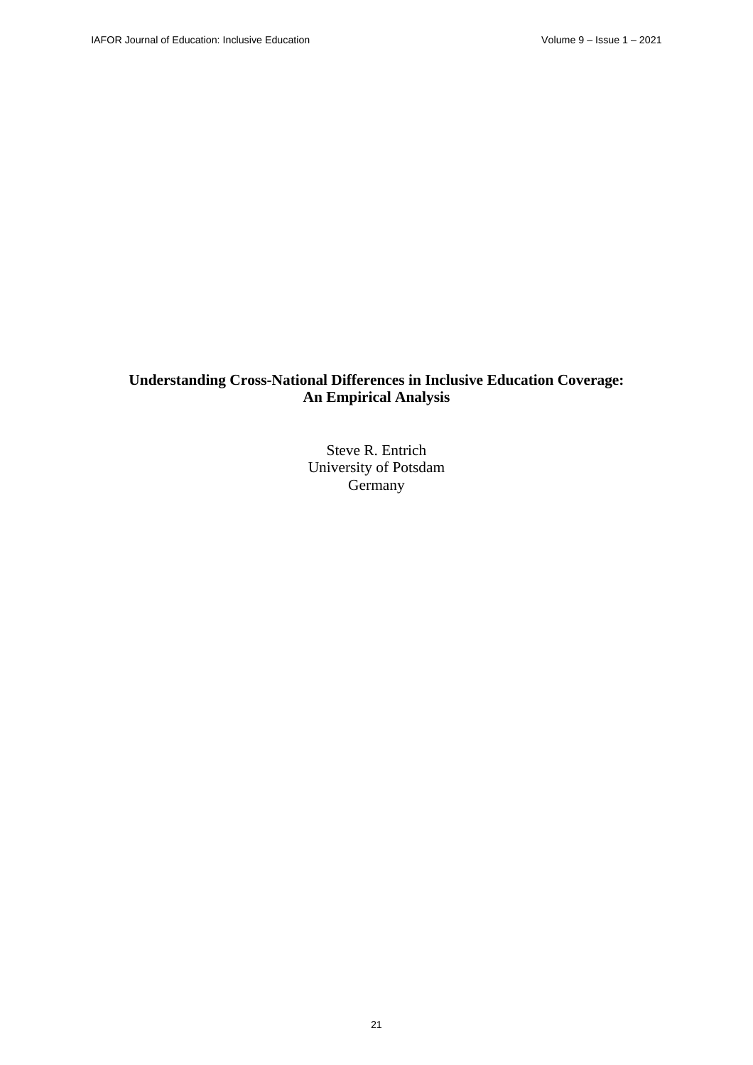# **Understanding Cross-National Differences in Inclusive Education Coverage: An Empirical Analysis**

Steve R. Entrich University of Potsdam Germany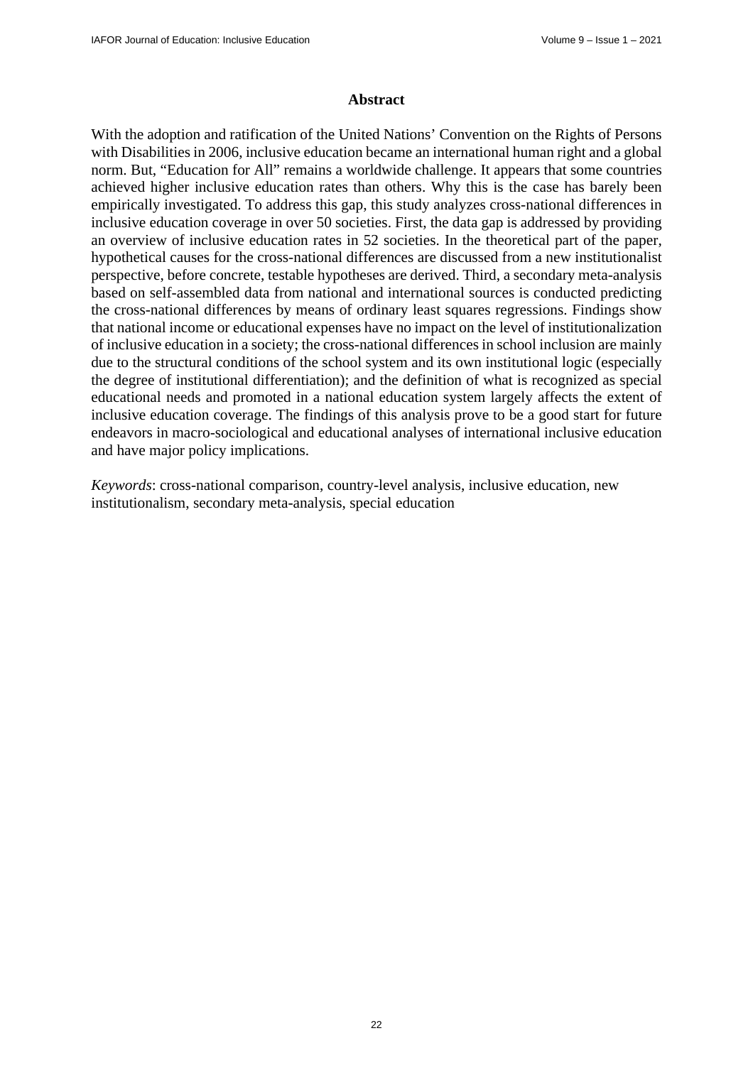#### **Abstract**

With the adoption and ratification of the United Nations' Convention on the Rights of Persons with Disabilities in 2006, inclusive education became an international human right and a global norm. But, "Education for All" remains a worldwide challenge. It appears that some countries achieved higher inclusive education rates than others. Why this is the case has barely been empirically investigated. To address this gap, this study analyzes cross-national differences in inclusive education coverage in over 50 societies. First, the data gap is addressed by providing an overview of inclusive education rates in 52 societies. In the theoretical part of the paper, hypothetical causes for the cross-national differences are discussed from a new institutionalist perspective, before concrete, testable hypotheses are derived. Third, a secondary meta-analysis based on self-assembled data from national and international sources is conducted predicting the cross-national differences by means of ordinary least squares regressions. Findings show that national income or educational expenses have no impact on the level of institutionalization of inclusive education in a society; the cross-national differences in school inclusion are mainly due to the structural conditions of the school system and its own institutional logic (especially the degree of institutional differentiation); and the definition of what is recognized as special educational needs and promoted in a national education system largely affects the extent of inclusive education coverage. The findings of this analysis prove to be a good start for future endeavors in macro-sociological and educational analyses of international inclusive education and have major policy implications.

*Keywords*: cross-national comparison, country-level analysis, inclusive education, new institutionalism, secondary meta-analysis, special education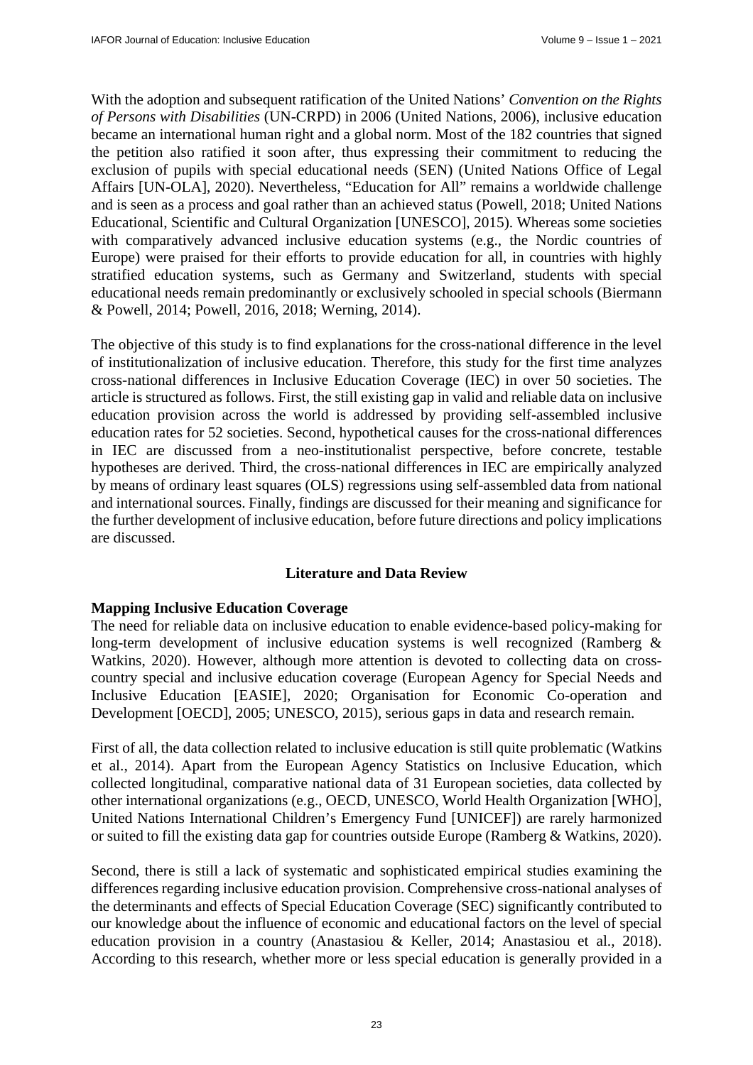With the adoption and subsequent ratification of the United Nations' *Convention on the Rights of Persons with Disabilities* (UN-CRPD) in 2006 (United Nations, 2006), inclusive education became an international human right and a global norm. Most of the 182 countries that signed the petition also ratified it soon after, thus expressing their commitment to reducing the exclusion of pupils with special educational needs (SEN) (United Nations Office of Legal Affairs [UN-OLA], 2020). Nevertheless, "Education for All" remains a worldwide challenge and is seen as a process and goal rather than an achieved status (Powell, 2018; United Nations Educational, Scientific and Cultural Organization [UNESCO], 2015). Whereas some societies with comparatively advanced inclusive education systems (e.g., the Nordic countries of Europe) were praised for their efforts to provide education for all, in countries with highly stratified education systems, such as Germany and Switzerland, students with special educational needs remain predominantly or exclusively schooled in special schools (Biermann & Powell, 2014; Powell, 2016, 2018; Werning, 2014).

The objective of this study is to find explanations for the cross-national difference in the level of institutionalization of inclusive education. Therefore, this study for the first time analyzes cross-national differences in Inclusive Education Coverage (IEC) in over 50 societies. The article is structured as follows. First, the still existing gap in valid and reliable data on inclusive education provision across the world is addressed by providing self-assembled inclusive education rates for 52 societies. Second, hypothetical causes for the cross-national differences in IEC are discussed from a neo-institutionalist perspective, before concrete, testable hypotheses are derived. Third, the cross-national differences in IEC are empirically analyzed by means of ordinary least squares (OLS) regressions using self-assembled data from national and international sources. Finally, findings are discussed for their meaning and significance for the further development of inclusive education, before future directions and policy implications are discussed.

### **Literature and Data Review**

## **Mapping Inclusive Education Coverage**

The need for reliable data on inclusive education to enable evidence-based policy-making for long-term development of inclusive education systems is well recognized (Ramberg & Watkins, 2020). However, although more attention is devoted to collecting data on crosscountry special and inclusive education coverage (European Agency for Special Needs and Inclusive Education [EASIE], 2020; Organisation for Economic Co-operation and Development [OECD], 2005; UNESCO, 2015), serious gaps in data and research remain.

First of all, the data collection related to inclusive education is still quite problematic (Watkins et al., 2014). Apart from the European Agency Statistics on Inclusive Education, which collected longitudinal, comparative national data of 31 European societies, data collected by other international organizations (e.g., OECD, UNESCO, World Health Organization [WHO], United Nations International Children's Emergency Fund [UNICEF]) are rarely harmonized or suited to fill the existing data gap for countries outside Europe (Ramberg & Watkins, 2020).

Second, there is still a lack of systematic and sophisticated empirical studies examining the differences regarding inclusive education provision. Comprehensive cross-national analyses of the determinants and effects of Special Education Coverage (SEC) significantly contributed to our knowledge about the influence of economic and educational factors on the level of special education provision in a country (Anastasiou & Keller, 2014; Anastasiou et al., 2018). According to this research, whether more or less special education is generally provided in a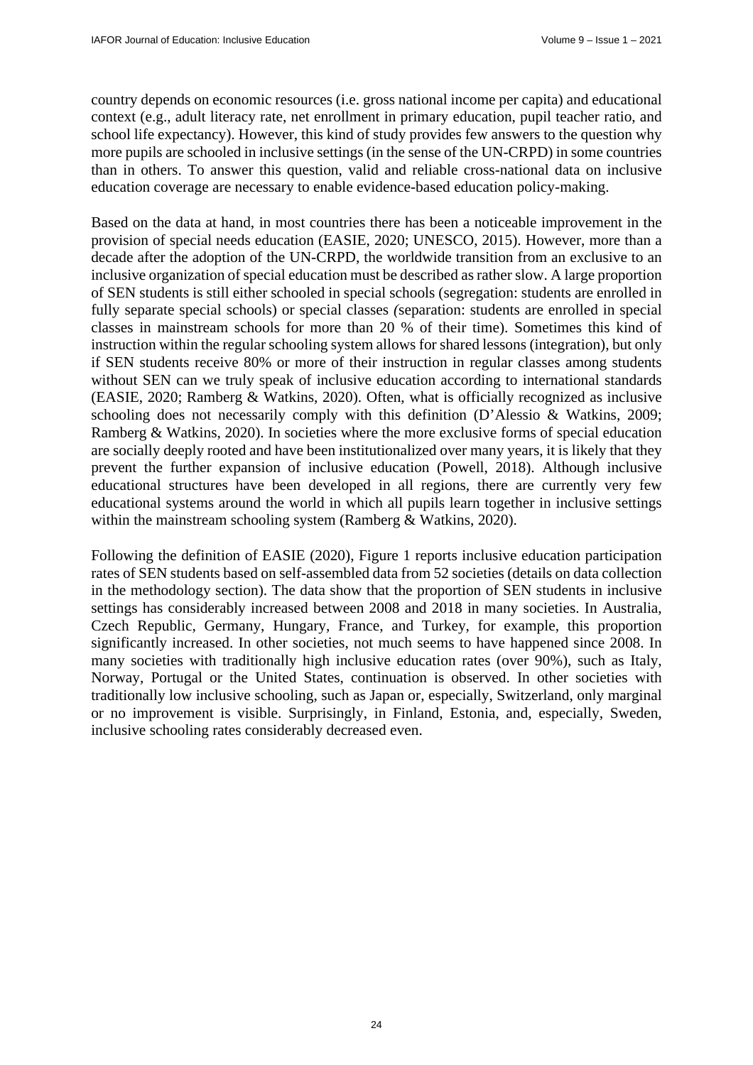country depends on economic resources (i.e. gross national income per capita) and educational context (e.g., adult literacy rate, net enrollment in primary education, pupil teacher ratio, and school life expectancy). However, this kind of study provides few answers to the question why more pupils are schooled in inclusive settings (in the sense of the UN-CRPD) in some countries than in others. To answer this question, valid and reliable cross-national data on inclusive education coverage are necessary to enable evidence-based education policy-making.

Based on the data at hand, in most countries there has been a noticeable improvement in the provision of special needs education (EASIE, 2020; UNESCO, 2015). However, more than a decade after the adoption of the UN-CRPD, the worldwide transition from an exclusive to an inclusive organization of special education must be described as rather slow. A large proportion of SEN students is still either schooled in special schools (segregation: students are enrolled in fully separate special schools) or special classes *(*separation: students are enrolled in special classes in mainstream schools for more than 20 % of their time). Sometimes this kind of instruction within the regular schooling system allows for shared lessons (integration), but only if SEN students receive 80% or more of their instruction in regular classes among students without SEN can we truly speak of inclusive education according to international standards (EASIE, 2020; Ramberg & Watkins, 2020). Often, what is officially recognized as inclusive schooling does not necessarily comply with this definition (D'Alessio & Watkins, 2009; Ramberg & Watkins, 2020). In societies where the more exclusive forms of special education are socially deeply rooted and have been institutionalized over many years, it is likely that they prevent the further expansion of inclusive education (Powell, 2018). Although inclusive educational structures have been developed in all regions, there are currently very few educational systems around the world in which all pupils learn together in inclusive settings within the mainstream schooling system (Ramberg & Watkins, 2020).

Following the definition of EASIE (2020), Figure 1 reports inclusive education participation rates of SEN students based on self-assembled data from 52 societies (details on data collection in the methodology section). The data show that the proportion of SEN students in inclusive settings has considerably increased between 2008 and 2018 in many societies. In Australia, Czech Republic, Germany, Hungary, France, and Turkey, for example, this proportion significantly increased. In other societies, not much seems to have happened since 2008. In many societies with traditionally high inclusive education rates (over 90%), such as Italy, Norway, Portugal or the United States, continuation is observed. In other societies with traditionally low inclusive schooling, such as Japan or, especially, Switzerland, only marginal or no improvement is visible. Surprisingly, in Finland, Estonia, and, especially, Sweden, inclusive schooling rates considerably decreased even.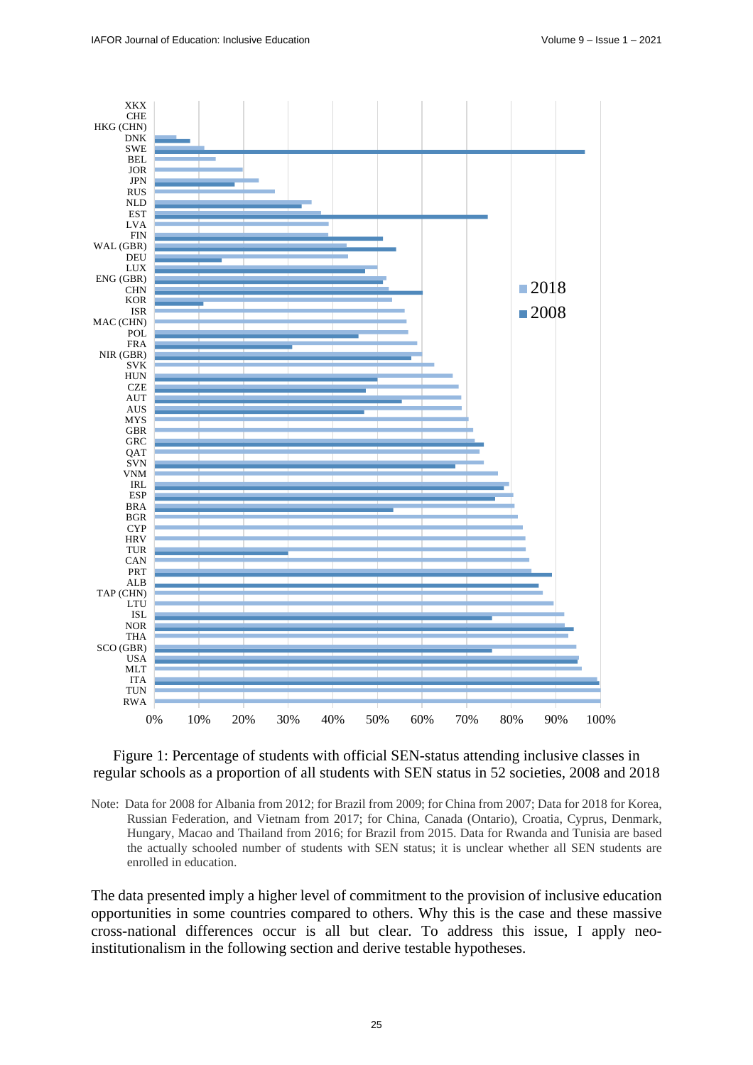

## Figure 1: Percentage of students with official SEN-status attending inclusive classes in regular schools as a proportion of all students with SEN status in 52 societies, 2008 and 2018

Note:Data for 2008 for Albania from 2012; for Brazil from 2009; for China from 2007; Data for 2018 for Korea, Russian Federation, and Vietnam from 2017; for China, Canada (Ontario), Croatia, Cyprus, Denmark, Hungary, Macao and Thailand from 2016; for Brazil from 2015. Data for Rwanda and Tunisia are based the actually schooled number of students with SEN status; it is unclear whether all SEN students are enrolled in education.

The data presented imply a higher level of commitment to the provision of inclusive education opportunities in some countries compared to others. Why this is the case and these massive cross-national differences occur is all but clear. To address this issue, I apply neoinstitutionalism in the following section and derive testable hypotheses.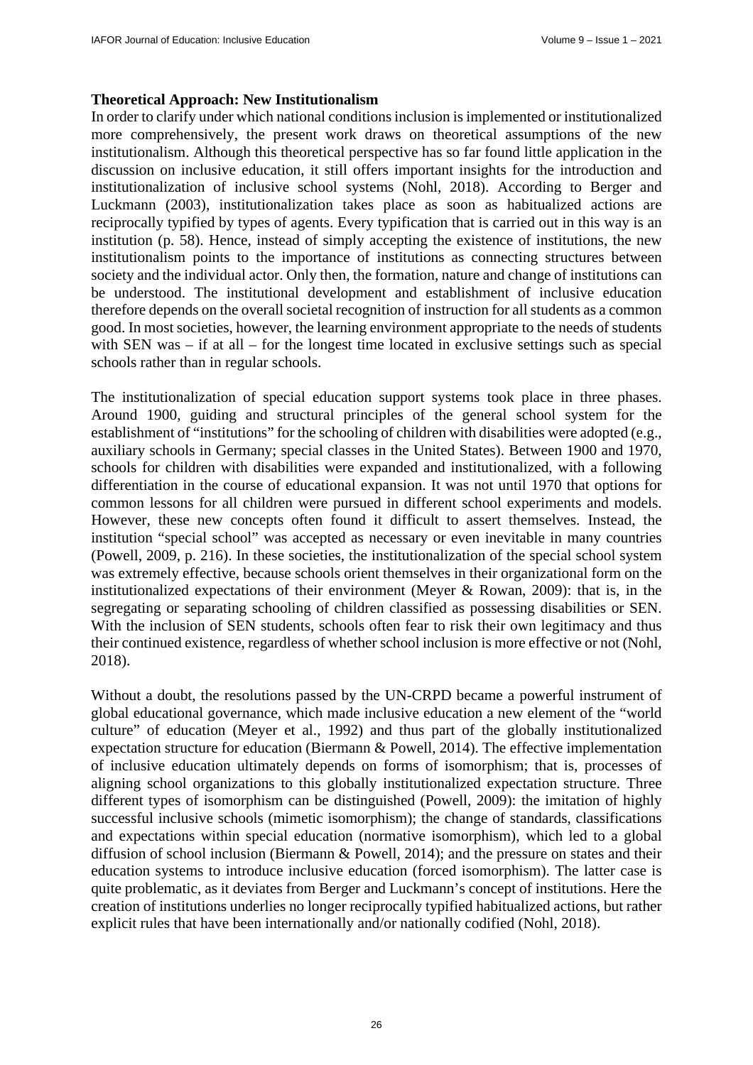### **Theoretical Approach: New Institutionalism**

In order to clarify under which national conditions inclusion is implemented or institutionalized more comprehensively, the present work draws on theoretical assumptions of the new institutionalism. Although this theoretical perspective has so far found little application in the discussion on inclusive education, it still offers important insights for the introduction and institutionalization of inclusive school systems (Nohl, 2018). According to Berger and Luckmann (2003), institutionalization takes place as soon as habitualized actions are reciprocally typified by types of agents. Every typification that is carried out in this way is an institution (p. 58). Hence, instead of simply accepting the existence of institutions, the new institutionalism points to the importance of institutions as connecting structures between society and the individual actor. Only then, the formation, nature and change of institutions can be understood. The institutional development and establishment of inclusive education therefore depends on the overall societal recognition of instruction for all students as a common good. In most societies, however, the learning environment appropriate to the needs of students with SEN was – if at all – for the longest time located in exclusive settings such as special schools rather than in regular schools.

The institutionalization of special education support systems took place in three phases. Around 1900, guiding and structural principles of the general school system for the establishment of "institutions" for the schooling of children with disabilities were adopted (e.g., auxiliary schools in Germany; special classes in the United States). Between 1900 and 1970, schools for children with disabilities were expanded and institutionalized, with a following differentiation in the course of educational expansion. It was not until 1970 that options for common lessons for all children were pursued in different school experiments and models. However, these new concepts often found it difficult to assert themselves. Instead, the institution "special school" was accepted as necessary or even inevitable in many countries (Powell, 2009, p. 216). In these societies, the institutionalization of the special school system was extremely effective, because schools orient themselves in their organizational form on the institutionalized expectations of their environment (Meyer & Rowan, 2009): that is, in the segregating or separating schooling of children classified as possessing disabilities or SEN. With the inclusion of SEN students, schools often fear to risk their own legitimacy and thus their continued existence, regardless of whether school inclusion is more effective or not (Nohl, 2018).

Without a doubt, the resolutions passed by the UN-CRPD became a powerful instrument of global educational governance, which made inclusive education a new element of the "world culture" of education (Meyer et al., 1992) and thus part of the globally institutionalized expectation structure for education (Biermann & Powell, 2014). The effective implementation of inclusive education ultimately depends on forms of isomorphism; that is, processes of aligning school organizations to this globally institutionalized expectation structure. Three different types of isomorphism can be distinguished (Powell, 2009): the imitation of highly successful inclusive schools (mimetic isomorphism); the change of standards, classifications and expectations within special education (normative isomorphism), which led to a global diffusion of school inclusion (Biermann & Powell, 2014); and the pressure on states and their education systems to introduce inclusive education (forced isomorphism). The latter case is quite problematic, as it deviates from Berger and Luckmann's concept of institutions. Here the creation of institutions underlies no longer reciprocally typified habitualized actions, but rather explicit rules that have been internationally and/or nationally codified (Nohl, 2018).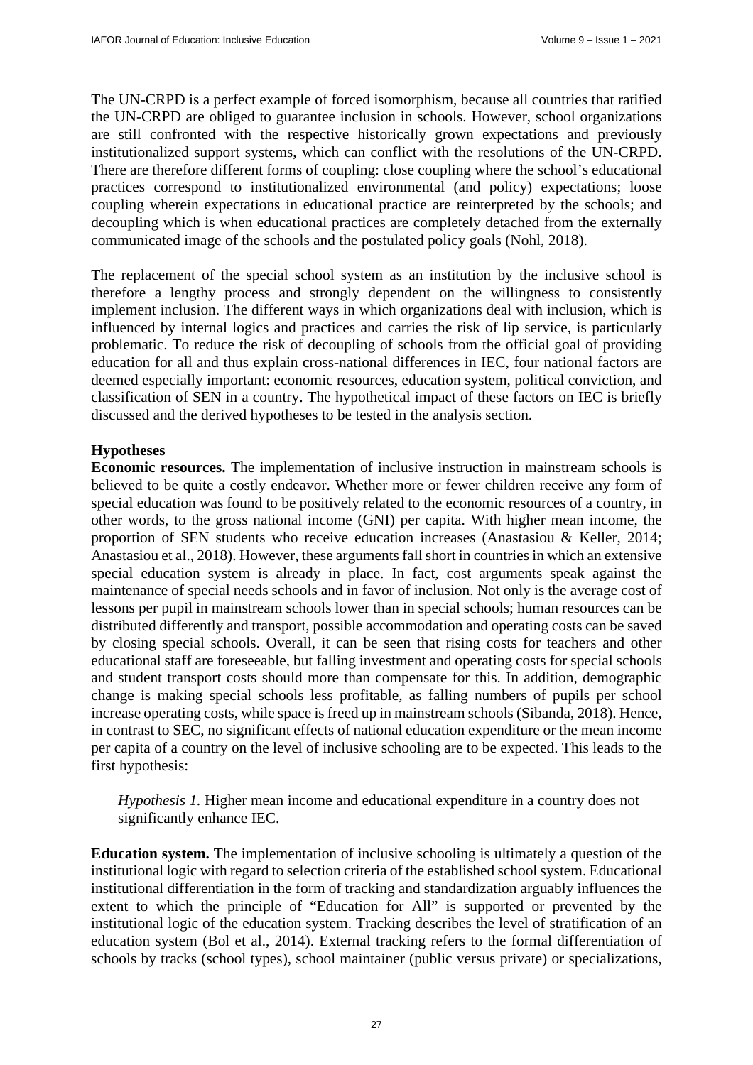The UN-CRPD is a perfect example of forced isomorphism, because all countries that ratified the UN-CRPD are obliged to guarantee inclusion in schools. However, school organizations are still confronted with the respective historically grown expectations and previously institutionalized support systems, which can conflict with the resolutions of the UN-CRPD. There are therefore different forms of coupling: close coupling where the school's educational practices correspond to institutionalized environmental (and policy) expectations; loose coupling wherein expectations in educational practice are reinterpreted by the schools; and decoupling which is when educational practices are completely detached from the externally communicated image of the schools and the postulated policy goals (Nohl, 2018).

The replacement of the special school system as an institution by the inclusive school is therefore a lengthy process and strongly dependent on the willingness to consistently implement inclusion. The different ways in which organizations deal with inclusion, which is influenced by internal logics and practices and carries the risk of lip service, is particularly problematic. To reduce the risk of decoupling of schools from the official goal of providing education for all and thus explain cross-national differences in IEC, four national factors are deemed especially important: economic resources, education system, political conviction, and classification of SEN in a country. The hypothetical impact of these factors on IEC is briefly discussed and the derived hypotheses to be tested in the analysis section.

## **Hypotheses**

**Economic resources.** The implementation of inclusive instruction in mainstream schools is believed to be quite a costly endeavor. Whether more or fewer children receive any form of special education was found to be positively related to the economic resources of a country, in other words, to the gross national income (GNI) per capita. With higher mean income, the proportion of SEN students who receive education increases (Anastasiou & Keller, 2014; Anastasiou et al., 2018). However, these arguments fall short in countries in which an extensive special education system is already in place. In fact, cost arguments speak against the maintenance of special needs schools and in favor of inclusion. Not only is the average cost of lessons per pupil in mainstream schools lower than in special schools; human resources can be distributed differently and transport, possible accommodation and operating costs can be saved by closing special schools. Overall, it can be seen that rising costs for teachers and other educational staff are foreseeable, but falling investment and operating costs for special schools and student transport costs should more than compensate for this. In addition, demographic change is making special schools less profitable, as falling numbers of pupils per school increase operating costs, while space is freed up in mainstream schools (Sibanda, 2018). Hence, in contrast to SEC, no significant effects of national education expenditure or the mean income per capita of a country on the level of inclusive schooling are to be expected. This leads to the first hypothesis:

*Hypothesis 1.* Higher mean income and educational expenditure in a country does not significantly enhance IEC.

**Education system.** The implementation of inclusive schooling is ultimately a question of the institutional logic with regard to selection criteria of the established school system. Educational institutional differentiation in the form of tracking and standardization arguably influences the extent to which the principle of "Education for All" is supported or prevented by the institutional logic of the education system. Tracking describes the level of stratification of an education system (Bol et al., 2014). External tracking refers to the formal differentiation of schools by tracks (school types), school maintainer (public versus private) or specializations,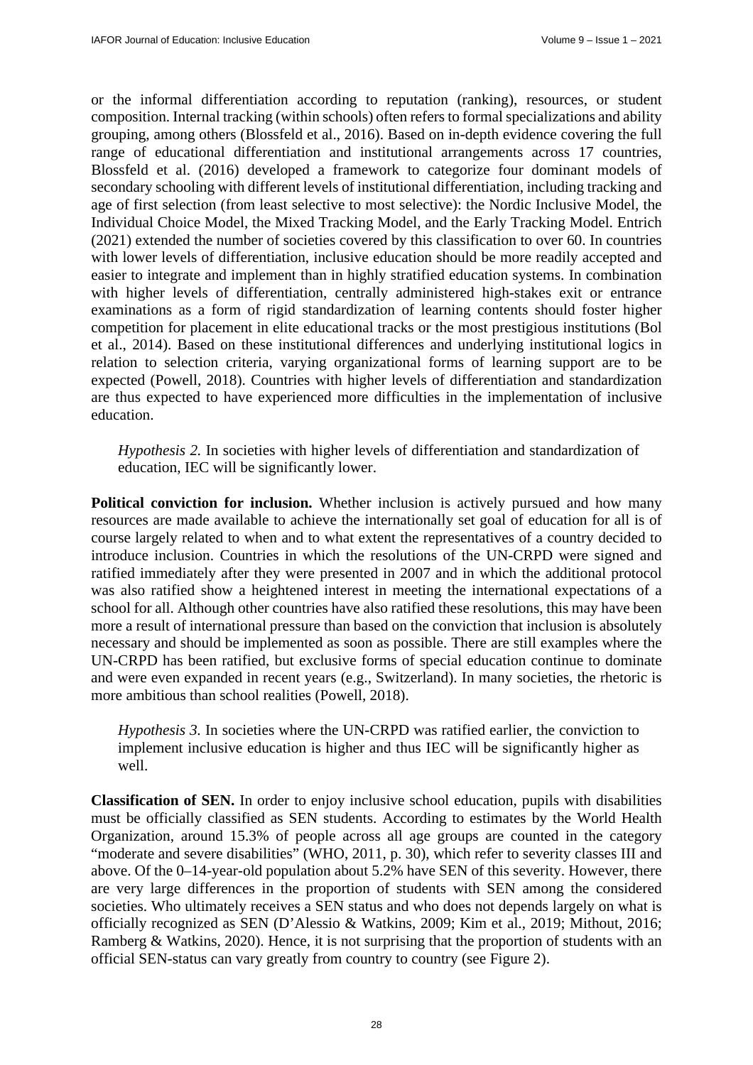or the informal differentiation according to reputation (ranking), resources, or student composition. Internal tracking (within schools) often refers to formal specializations and ability grouping, among others (Blossfeld et al., 2016). Based on in-depth evidence covering the full range of educational differentiation and institutional arrangements across 17 countries, Blossfeld et al. (2016) developed a framework to categorize four dominant models of secondary schooling with different levels of institutional differentiation, including tracking and age of first selection (from least selective to most selective): the Nordic Inclusive Model, the Individual Choice Model, the Mixed Tracking Model, and the Early Tracking Model. Entrich (2021) extended the number of societies covered by this classification to over 60. In countries with lower levels of differentiation, inclusive education should be more readily accepted and easier to integrate and implement than in highly stratified education systems. In combination with higher levels of differentiation, centrally administered high-stakes exit or entrance examinations as a form of rigid standardization of learning contents should foster higher competition for placement in elite educational tracks or the most prestigious institutions (Bol et al., 2014). Based on these institutional differences and underlying institutional logics in relation to selection criteria, varying organizational forms of learning support are to be expected (Powell, 2018). Countries with higher levels of differentiation and standardization are thus expected to have experienced more difficulties in the implementation of inclusive education.

*Hypothesis 2.* In societies with higher levels of differentiation and standardization of education, IEC will be significantly lower.

**Political conviction for inclusion.** Whether inclusion is actively pursued and how many resources are made available to achieve the internationally set goal of education for all is of course largely related to when and to what extent the representatives of a country decided to introduce inclusion. Countries in which the resolutions of the UN-CRPD were signed and ratified immediately after they were presented in 2007 and in which the additional protocol was also ratified show a heightened interest in meeting the international expectations of a school for all. Although other countries have also ratified these resolutions, this may have been more a result of international pressure than based on the conviction that inclusion is absolutely necessary and should be implemented as soon as possible. There are still examples where the UN-CRPD has been ratified, but exclusive forms of special education continue to dominate and were even expanded in recent years (e.g., Switzerland). In many societies, the rhetoric is more ambitious than school realities (Powell, 2018).

*Hypothesis 3.* In societies where the UN-CRPD was ratified earlier, the conviction to implement inclusive education is higher and thus IEC will be significantly higher as well.

**Classification of SEN.** In order to enjoy inclusive school education, pupils with disabilities must be officially classified as SEN students. According to estimates by the World Health Organization, around 15.3% of people across all age groups are counted in the category "moderate and severe disabilities" (WHO, 2011, p. 30), which refer to severity classes III and above. Of the 0–14-year-old population about 5.2% have SEN of this severity. However, there are very large differences in the proportion of students with SEN among the considered societies. Who ultimately receives a SEN status and who does not depends largely on what is officially recognized as SEN (D'Alessio & Watkins, 2009; Kim et al., 2019; Mithout, 2016; Ramberg & Watkins, 2020). Hence, it is not surprising that the proportion of students with an official SEN-status can vary greatly from country to country (see Figure 2).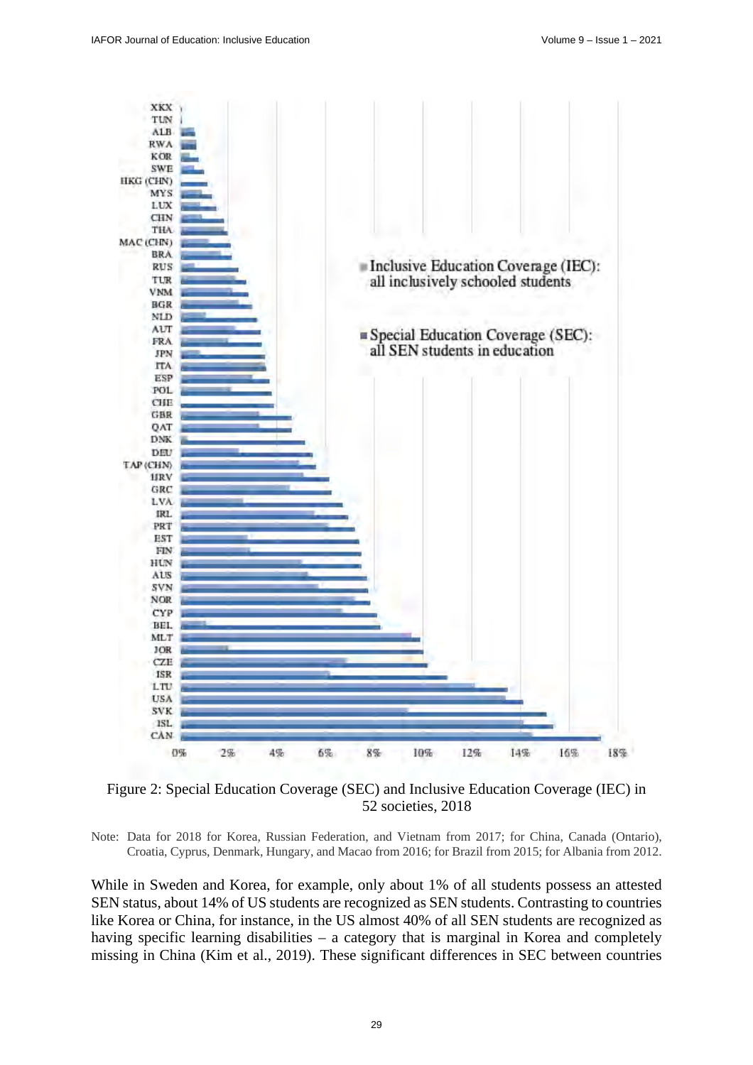

Figure 2: Special Education Coverage (SEC) and Inclusive Education Coverage (IEC) in 52 societies, 2018

Note: Data for 2018 for Korea, Russian Federation, and Vietnam from 2017; for China, Canada (Ontario), Croatia, Cyprus, Denmark, Hungary, and Macao from 2016; for Brazil from 2015; for Albania from 2012.

While in Sweden and Korea, for example, only about 1% of all students possess an attested SEN status, about 14% of US students are recognized as SEN students. Contrasting to countries like Korea or China, for instance, in the US almost 40% of all SEN students are recognized as having specific learning disabilities – a category that is marginal in Korea and completely missing in China (Kim et al., 2019). These significant differences in SEC between countries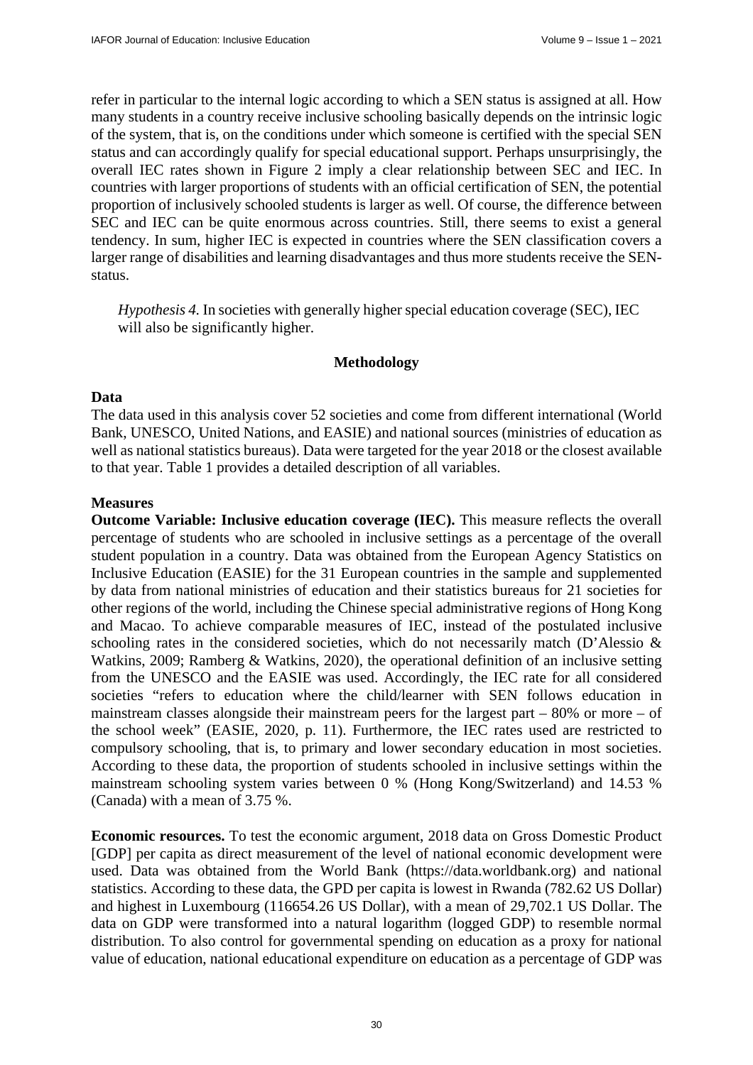refer in particular to the internal logic according to which a SEN status is assigned at all. How many students in a country receive inclusive schooling basically depends on the intrinsic logic of the system, that is, on the conditions under which someone is certified with the special SEN status and can accordingly qualify for special educational support. Perhaps unsurprisingly, the overall IEC rates shown in Figure 2 imply a clear relationship between SEC and IEC. In countries with larger proportions of students with an official certification of SEN, the potential proportion of inclusively schooled students is larger as well. Of course, the difference between SEC and IEC can be quite enormous across countries. Still, there seems to exist a general tendency. In sum, higher IEC is expected in countries where the SEN classification covers a larger range of disabilities and learning disadvantages and thus more students receive the SENstatus.

*Hypothesis 4.* In societies with generally higher special education coverage (SEC), IEC will also be significantly higher.

#### **Methodology**

### **Data**

The data used in this analysis cover 52 societies and come from different international (World Bank, UNESCO, United Nations, and EASIE) and national sources (ministries of education as well as national statistics bureaus). Data were targeted for the year 2018 or the closest available to that year. Table 1 provides a detailed description of all variables.

### **Measures**

**Outcome Variable: Inclusive education coverage (IEC).** This measure reflects the overall percentage of students who are schooled in inclusive settings as a percentage of the overall student population in a country. Data was obtained from the European Agency Statistics on Inclusive Education (EASIE) for the 31 European countries in the sample and supplemented by data from national ministries of education and their statistics bureaus for 21 societies for other regions of the world, including the Chinese special administrative regions of Hong Kong and Macao. To achieve comparable measures of IEC, instead of the postulated inclusive schooling rates in the considered societies, which do not necessarily match (D'Alessio  $\&$ Watkins, 2009; Ramberg & Watkins, 2020), the operational definition of an inclusive setting from the UNESCO and the EASIE was used. Accordingly, the IEC rate for all considered societies "refers to education where the child/learner with SEN follows education in mainstream classes alongside their mainstream peers for the largest part  $-80\%$  or more  $-$  of the school week" (EASIE, 2020, p. 11). Furthermore, the IEC rates used are restricted to compulsory schooling, that is, to primary and lower secondary education in most societies. According to these data, the proportion of students schooled in inclusive settings within the mainstream schooling system varies between 0 % (Hong Kong/Switzerland) and 14.53 % (Canada) with a mean of 3.75 %.

**Economic resources.** To test the economic argument, 2018 data on Gross Domestic Product [GDP] per capita as direct measurement of the level of national economic development were used. Data was obtained from the World Bank ([https://data.worldbank.org\) an](https://data.worldbank.org)d national statistics. According to these data, the GPD per capita is lowest in Rwanda (782.62 US Dollar) and highest in Luxembourg (116654.26 US Dollar), with a mean of 29,702.1 US Dollar. The data on GDP were transformed into a natural logarithm (logged GDP) to resemble normal distribution. To also control for governmental spending on education as a proxy for national value of education, national educational expenditure on education as a percentage of GDP was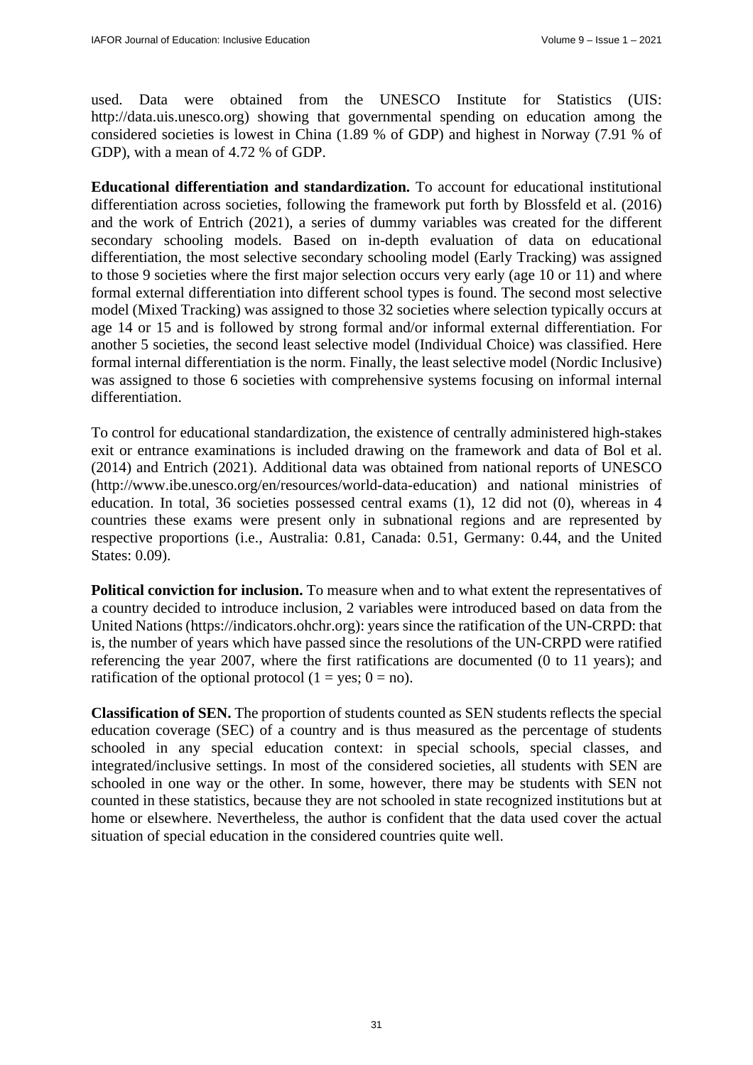used. Data were obtained from the UNESCO Institute for Statistics (UIS: [http://data.uis.unesco.org\) sh](http://data.uis.unesco.org)owing that governmental spending on education among the considered societies is lowest in China (1.89 % of GDP) and highest in Norway (7.91 % of GDP), with a mean of 4.72 % of GDP.

**Educational differentiation and standardization.** To account for educational institutional differentiation across societies, following the framework put forth by Blossfeld et al. (2016) and the work of Entrich (2021), a series of dummy variables was created for the different secondary schooling models. Based on in-depth evaluation of data on educational differentiation, the most selective secondary schooling model (Early Tracking) was assigned to those 9 societies where the first major selection occurs very early (age 10 or 11) and where formal external differentiation into different school types is found. The second most selective model (Mixed Tracking) was assigned to those 32 societies where selection typically occurs at age 14 or 15 and is followed by strong formal and/or informal external differentiation. For another 5 societies, the second least selective model (Individual Choice) was classified. Here formal internal differentiation is the norm. Finally, the least selective model (Nordic Inclusive) was assigned to those 6 societies with comprehensive systems focusing on informal internal differentiation.

To control for educational standardization, the existence of centrally administered high-stakes exit or entrance examinations is included drawing on the framework and data of Bol et al. (2014) and Entrich (2021). Additional data was obtained from national reports of UNESCO [\(http://www.ibe.unesco.org/en/resources/world-data-education\) a](http://www.ibe.unesco.org/en/resources/world-data-education)nd national ministries of education. In total, 36 societies possessed central exams (1), 12 did not (0), whereas in 4 countries these exams were present only in subnational regions and are represented by respective proportions (i.e., Australia: 0.81, Canada: 0.51, Germany: 0.44, and the United States: 0.09).

**Political conviction for inclusion.** To measure when and to what extent the representatives of a country decided to introduce inclusion, 2 variables were introduced based on data from the United Nations ([https://indicators.ohchr.org\): ye](https://indicators.ohchr.org):)ars since the ratification of the UN-CRPD: that is, the number of years which have passed since the resolutions of the UN-CRPD were ratified referencing the year 2007, where the first ratifications are documented (0 to 11 years); and ratification of the optional protocol (1 = yes;  $0 =$  no).

**Classification of SEN.** The proportion of students counted as SEN students reflects the special education coverage (SEC) of a country and is thus measured as the percentage of students schooled in any special education context: in special schools, special classes, and integrated/inclusive settings. In most of the considered societies, all students with SEN are schooled in one way or the other. In some, however, there may be students with SEN not counted in these statistics, because they are not schooled in state recognized institutions but at home or elsewhere. Nevertheless, the author is confident that the data used cover the actual situation of special education in the considered countries quite well.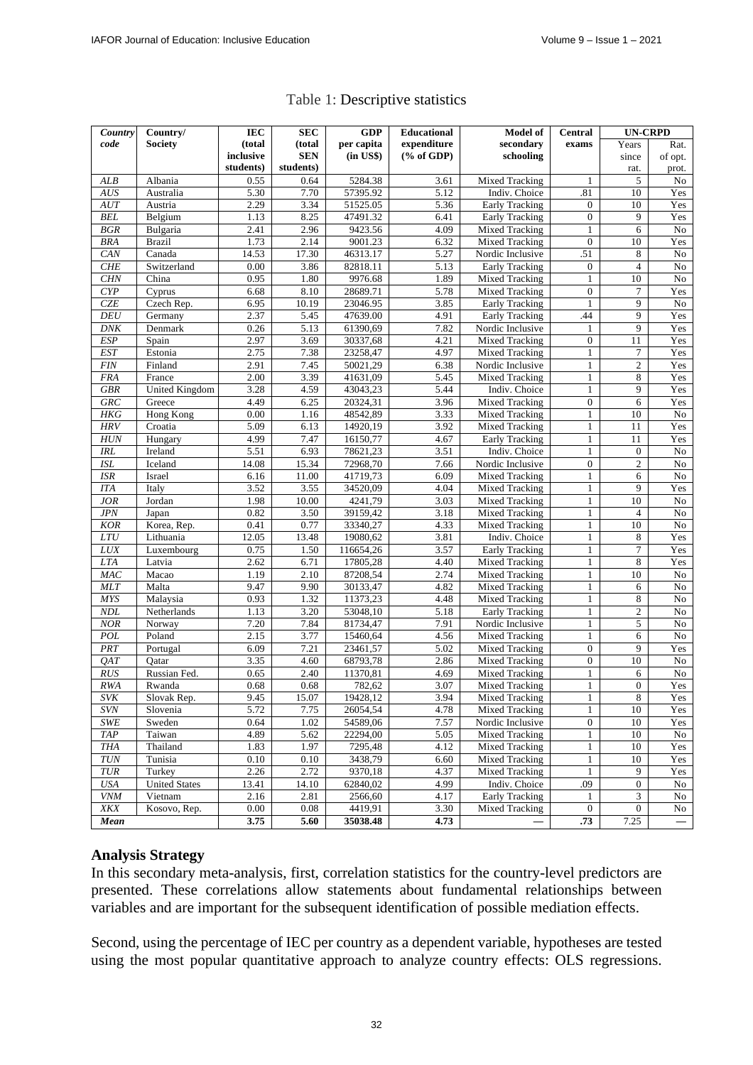**UN-CRPD**

 $\overline{\textbf{E}}$ C

 $\overline{SDC}$ 

| Country    | Country/              | IEC       | <b>SEC</b> | <b>GDP</b>     | <b>Educational</b>          | <b>Model of</b>       | Central           | <b>UN-CRPD</b>       |                          |
|------------|-----------------------|-----------|------------|----------------|-----------------------------|-----------------------|-------------------|----------------------|--------------------------|
| code       | Society               | (total    | (total     | per capita     | expenditure                 | secondary             |                   | Years                | Rat.                     |
|            |                       | inclusive | <b>SEN</b> | $(in$ US\$ $)$ | $(% \mathbf{A})$ (% of GDP) | schooling             |                   | since                | of opt.                  |
|            |                       | students) | students)  |                |                             |                       |                   | rat.                 | prot.                    |
| ALB        | Albania               | 0.55      | 0.64       | 5284.38        | 3.61                        | <b>Mixed Tracking</b> | $\mathbf{1}$      | 5                    | No                       |
| AUS        | Australia             | 5.30      | 7.70       | 57395.92       | 5.12                        | Indiv. Choice         | .81               | 10                   | Yes                      |
| AUT        | Austria               | 2.29      | 3.34       | 51525.05       | 5.36                        | <b>Early Tracking</b> | $\overline{0}$    | 10                   | Yes                      |
| <b>BEL</b> | Belgium               | 1.13      | 8.25       | 47491.32       | 6.41                        | <b>Early Tracking</b> | $\overline{0}$    | 9                    | Yes                      |
| BGR        | Bulgaria              | 2.41      | 2.96       | 9423.56        | 4.09                        | <b>Mixed Tracking</b> | 1                 | 6                    | No                       |
| <b>BRA</b> | <b>Brazil</b>         | 1.73      | 2.14       | 9001.23        | 6.32                        | <b>Mixed Tracking</b> | $\mathbf{0}$      | 10                   | Yes                      |
| CAN        | Canada                | 14.53     | 17.30      | 46313.17       | $\frac{1}{5.27}$            | Nordic Inclusive      | .51               | 8                    | No                       |
| CHE        | Switzerland           | 0.00      | 3.86       | 82818.11       | 5.13                        | <b>Early Tracking</b> | $\overline{0}$    | $\overline{4}$       | No                       |
| <b>CHN</b> | China                 | 0.95      | 1.80       | 9976.68        | 1.89                        | Mixed Tracking        | $\mathbf{1}$      | 10                   | No                       |
| CYP        | Cyprus                | 6.68      | 8.10       | 28689.71       | 5.78                        | <b>Mixed Tracking</b> | $\Omega$          | 7                    | Yes                      |
| <b>CZE</b> | Czech Rep.            | 6.95      | 10.19      | 23046.95       | 3.85                        | Early Tracking        | $\mathbf{1}$      | 9                    | No                       |
| <b>DEU</b> | Germany               | 2.37      | 5.45       | 47639.00       | 4.91                        | <b>Early Tracking</b> | 44                | 9                    | Yes                      |
| <b>DNK</b> | Denmark               | 0.26      | 5.13       | 61390,69       | 7.82                        | Nordic Inclusive      | 1                 | 9                    | Yes                      |
| <b>ESP</b> | Spain                 | 2.97      | 3.69       | 30337,68       | 4.21                        | <b>Mixed Tracking</b> | $\overline{0}$    | 11                   | Yes                      |
| <b>EST</b> | Estonia               | 2.75      | 7.38       | 23258,47       | 4.97                        | <b>Mixed Tracking</b> | $\mathbf{1}$      | $\tau$               | Yes                      |
| <b>FIN</b> | Finland               | 2.91      | 7.45       | 50021,29       | 6.38                        | Nordic Inclusive      | 1                 | $\mathfrak{2}$       | Yes                      |
| <b>FRA</b> | France                | 2.00      | 3.39       | 41631,09       | 5.45                        | Mixed Tracking        | $\mathbf{1}$      | 8                    | Yes                      |
| <b>GBR</b> | <b>United Kingdom</b> | 3.28      | 4.59       | 43043,23       | 5.44                        | Indiv. Choice         | 1                 | 9                    | Yes                      |
| GRC        | Greece                | 4.49      | 6.25       | 20324,31       | 3.96                        | <b>Mixed Tracking</b> | $\overline{0}$    | 6                    | Yes                      |
| <b>HKG</b> | Hong Kong             | 0.00      | 1.16       | 48542,89       | 3.33                        | <b>Mixed Tracking</b> | $\mathbf{1}$      | 10                   | No                       |
| <b>HRV</b> | Croatia               | 5.09      | 6.13       | 14920,19       | 3.92                        | <b>Mixed Tracking</b> | 1                 | 11                   | Yes                      |
| <b>HUN</b> | Hungary               | 4.99      | 7.47       | 16150,77       | 4.67                        | <b>Early Tracking</b> | 1                 | 11                   | Yes                      |
| <b>IRL</b> | Ireland               | 5.51      | 6.93       | 78621,23       | 3.51                        | Indiv. Choice         | $\mathbf{1}$      | $\mathbf{0}$         | No                       |
| <b>ISL</b> | Iceland               | 14.08     | 15.34      | 72968,70       | 7.66                        | Nordic Inclusive      | $\overline{0}$    | $\overline{c}$       | No                       |
|            |                       |           |            |                |                             |                       |                   |                      |                          |
| <b>ISR</b> | Israel                | 6.16      | 11.00      | 41719,73       | 6.09                        | Mixed Tracking        | $\mathbf{1}$      | 6<br>9               | No                       |
| <b>ITA</b> | Italy                 | 3.52      | 3.55       | 34520,09       | 4.04                        | <b>Mixed Tracking</b> | 1                 |                      | Yes                      |
| <b>JOR</b> | Jordan                | 1.98      | 10.00      | 4241,79        | 3.03                        | <b>Mixed Tracking</b> | 1<br>$\mathbf{1}$ | 10<br>$\overline{4}$ | No                       |
| <b>JPN</b> | Japan                 | 0.82      | 3.50       | 39159,42       | 3.18                        | <b>Mixed Tracking</b> |                   |                      | No                       |
| <b>KOR</b> | Korea, Rep.           | 0.41      | 0.77       | 33340,27       | 4.33                        | Mixed Tracking        | 1                 | 10                   | No                       |
| <b>LTU</b> | Lithuania             | 12.05     | 13.48      | 19080,62       | 3.81                        | Indiv. Choice         | 1                 | 8                    | Yes                      |
| <b>LUX</b> | Luxembourg            | 0.75      | 1.50       | 116654,26      | 3.57                        | <b>Early Tracking</b> | 1                 | 7                    | Yes                      |
| <b>LTA</b> | Latvia                | 2.62      | 6.71       | 17805,28       | 4.40                        | <b>Mixed Tracking</b> | 1                 | 8                    | Yes                      |
| MAC        | Macao                 | 1.19      | 2.10       | 87208,54       | 2.74                        | <b>Mixed Tracking</b> | 1                 | 10                   | $\rm No$                 |
| MLT        | Malta                 | 9.47      | 9.90       | 30133,47       | 4.82                        | Mixed Tracking        | 1                 | 6                    | No                       |
| <b>MYS</b> | Malaysia              | 0.93      | 1.32       | 11373,23       | 4.48                        | <b>Mixed Tracking</b> | 1                 | 8                    | No                       |
| <b>NDL</b> | Netherlands           | 1.13      | 3.20       | 53048,10       | 5.18                        | <b>Early Tracking</b> | $\mathbf{1}$      | $\overline{c}$       | No                       |
| <b>NOR</b> | Norway                | 7.20      | 7.84       | 81734,47       | 7.91                        | Nordic Inclusive      | 1                 | 5                    | No                       |
| POL        | Poland                | 2.15      | 3.77       | 15460,64       | 4.56                        | <b>Mixed Tracking</b> | 1                 | 6                    | No                       |
| PRT        | Portugal              | 6.09      | 7.21       | 23461,57       | 5.02                        | <b>Mixed Tracking</b> | $\overline{0}$    | 9                    | Yes                      |
| QAT        | Qatar                 | 3.35      | 4.60       | 68793,78       | 2.86                        | <b>Mixed Tracking</b> | $\overline{0}$    | 10                   | No                       |
| <b>RUS</b> | Russian Fed.          | 0.65      | 2.40       | 11370,81       | 4.69                        | Mixed Tracking        | $\mathbf{1}$      | 6                    | No                       |
| <b>RWA</b> | Rwanda                | 0.68      | 0.68       | 782,62         | 3.07                        | <b>Mixed Tracking</b> | $\mathbf{1}$      | $\mathbf{0}$         | Yes                      |
| <b>SVK</b> | Slovak Rep.           | 9.45      | 15.07      | 19428,12       | 3.94                        | Mixed Tracking        | $\mathbf{1}$      | $\sqrt{8}$           | Yes                      |
| <b>SVN</b> | Slovenia              | 5.72      | 7.75       | 26054,54       | 4.78                        | Mixed Tracking        | $\mathbf{1}$      | 10                   | Yes                      |
| SWE        | Sweden                | 0.64      | 1.02       | 54589,06       | 7.57                        | Nordic Inclusive      | 0                 | 10                   | Yes                      |
| <b>TAP</b> | Taiwan                | 4.89      | 5.62       | 22294,00       | 5.05                        | Mixed Tracking        | $\mathbf{1}$      | 10                   | No                       |
| <b>THA</b> | Thailand              | 1.83      | 1.97       | 7295,48        | 4.12                        | Mixed Tracking        | $\mathbf{1}$      | 10                   | Yes                      |
| $TUN$      | Tunisia               | 0.10      | 0.10       | 3438,79        | 6.60                        | Mixed Tracking        | $\mathbf{1}$      | 10                   | Yes                      |
| <b>TUR</b> | Turkey                | 2.26      | 2.72       | 9370,18        | 4.37                        | Mixed Tracking        | $\mathbf{1}$      | 9                    | Yes                      |
| $U\!S\!A$  | <b>United States</b>  | 13.41     | 14.10      | 62840,02       | 4.99                        | Indiv. Choice         | .09               | $\boldsymbol{0}$     | No                       |
| <b>VNM</b> | Vietnam               | 2.16      | 2.81       | 2566,60        | 4.17                        | Early Tracking        | $\mathbf{1}$      | 3                    | No                       |
| XKX        | Kosovo, Rep.          | 0.00      | 0.08       | 4419,91        | 3.30                        | Mixed Tracking        | $\overline{0}$    | $\mathbf{0}$         | No                       |
| Mean       |                       | 3.75      | 5.60       | 35038.48       | 4.73                        |                       | .73               | 7.25                 | $\overline{\phantom{0}}$ |
|            |                       |           |            |                |                             |                       |                   |                      |                          |

#### Table 1: Descriptive statistics

## **Analysis Strategy**

In this secondary meta-analysis, first, correlation statistics for the country-level predictors are presented. These correlations allow statements about fundamental relationships between variables and are important for the subsequent identification of possible mediation effects.

Second, using the percentage of IEC per country as a dependent variable, hypotheses are tested using the most popular quantitative approach to analyze country effects: OLS regressions.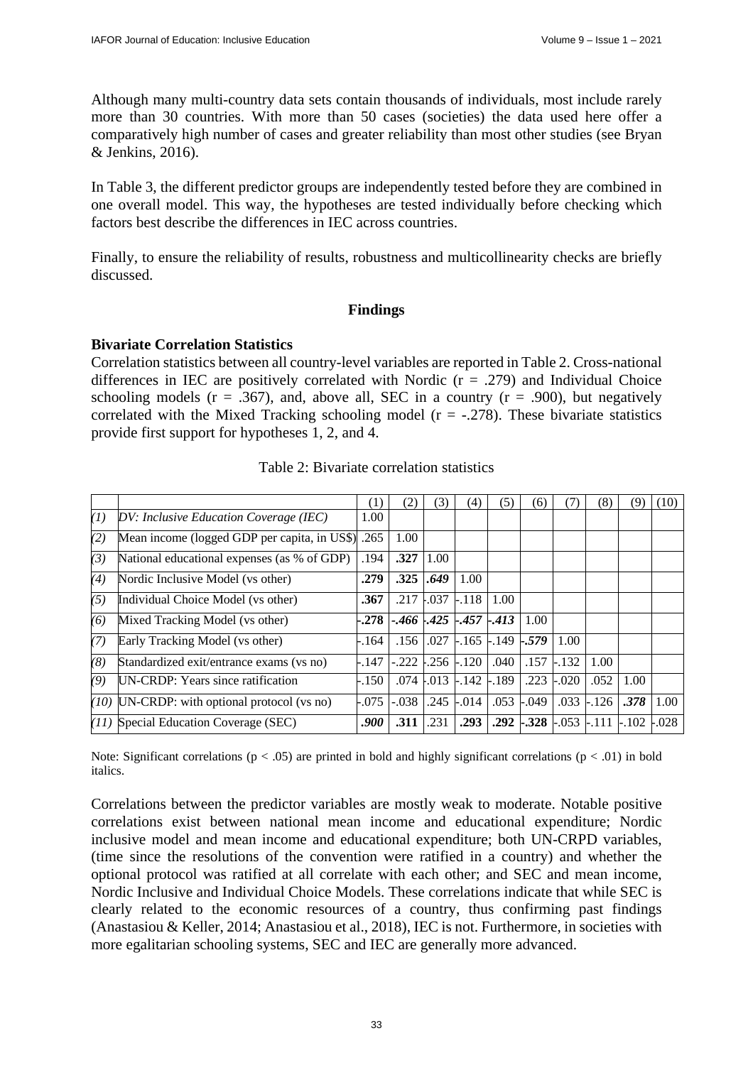Although many multi-country data sets contain thousands of individuals, most include rarely more than 30 countries. With more than 50 cases (societies) the data used here offer a comparatively high number of cases and greater reliability than most other studies (see Bryan & Jenkins, 2016).

In Table 3, the different predictor groups are independently tested before they are combined in one overall model. This way, the hypotheses are tested individually before checking which factors best describe the differences in IEC across countries.

Finally, to ensure the reliability of results, robustness and multicollinearity checks are briefly discussed.

## **Findings**

## **Bivariate Correlation Statistics**

Correlation statistics between all country-level variables are reported in Table 2. Cross-national differences in IEC are positively correlated with Nordic  $(r = .279)$  and Individual Choice schooling models ( $r = .367$ ), and, above all, SEC in a country ( $r = .900$ ), but negatively correlated with the Mixed Tracking schooling model ( $r = -0.278$ ). These bivariate statistics provide first support for hypotheses 1, 2, and 4.

|     |                                                     | (1)     | (2)                             | 3)            | (4)                     | (5   | (6)                    | $\iota$ /, | 8)      | (9      | (10)    |
|-----|-----------------------------------------------------|---------|---------------------------------|---------------|-------------------------|------|------------------------|------------|---------|---------|---------|
| (1) | DV: Inclusive Education Coverage (IEC)              | 1.00    |                                 |               |                         |      |                        |            |         |         |         |
| (2) | Mean income (logged GDP per capita, in US\$)        | .265    | 1.00                            |               |                         |      |                        |            |         |         |         |
| (3) | .194<br>National educational expenses (as % of GDP) |         | .327                            | 1.00          |                         |      |                        |            |         |         |         |
| (4) | Nordic Inclusive Model (vs other)                   | .279    | .325                            | .649          | 1.00                    |      |                        |            |         |         |         |
| (5) | Individual Choice Model (vs other)                  | .367    | .217                            | .037          | $-.118$                 | 1.00 |                        |            |         |         |         |
| (6) | Mixed Tracking Model (vs other)                     | $-.278$ | $-.466$ $-.425$ $-.457$ $-.413$ |               |                         |      | 1.00                   |            |         |         |         |
| (7) | Early Tracking Model (vs other)                     | - 164   | .156                            | .027          | $-.165$ $-.149$ $-.579$ |      |                        | 1.00       |         |         |         |
| (8) | Standardized exit/entrance exams (vs no)            | -.147   | $-.222$                         |               | .256 -.120              | .040 | .157                   | $-.132$    | 1.00    |         |         |
| (9) | UN-CRDP: Years since ratification                   | -.150   |                                 | $.074$ $.013$ | $-.142$ $-.189$         |      | .223                   | $-.020$    | .052    | 1.00    |         |
|     | $(10)$ UN-CRDP: with optional protocol (vs no)      | $-.075$ | $-.038$                         | .245          | $-.014$                 | .053 | $-.049$                | .033       | $-.126$ | .378    | 1.00    |
|     | (11) Special Education Coverage (SEC)               | .900    | .311                            | .231          | .293                    |      | $.292$ $-.328$ $-.053$ |            | $-.111$ | $-.102$ | $-.028$ |

Table 2: Bivariate correlation statistics

Note: Significant correlations ( $p < .05$ ) are printed in bold and highly significant correlations ( $p < .01$ ) in bold italics.

Correlations between the predictor variables are mostly weak to moderate. Notable positive correlations exist between national mean income and educational expenditure; Nordic inclusive model and mean income and educational expenditure; both UN-CRPD variables, (time since the resolutions of the convention were ratified in a country) and whether the optional protocol was ratified at all correlate with each other; and SEC and mean income, Nordic Inclusive and Individual Choice Models. These correlations indicate that while SEC is clearly related to the economic resources of a country, thus confirming past findings (Anastasiou & Keller, 2014; Anastasiou et al., 2018), IEC is not. Furthermore, in societies with more egalitarian schooling systems, SEC and IEC are generally more advanced.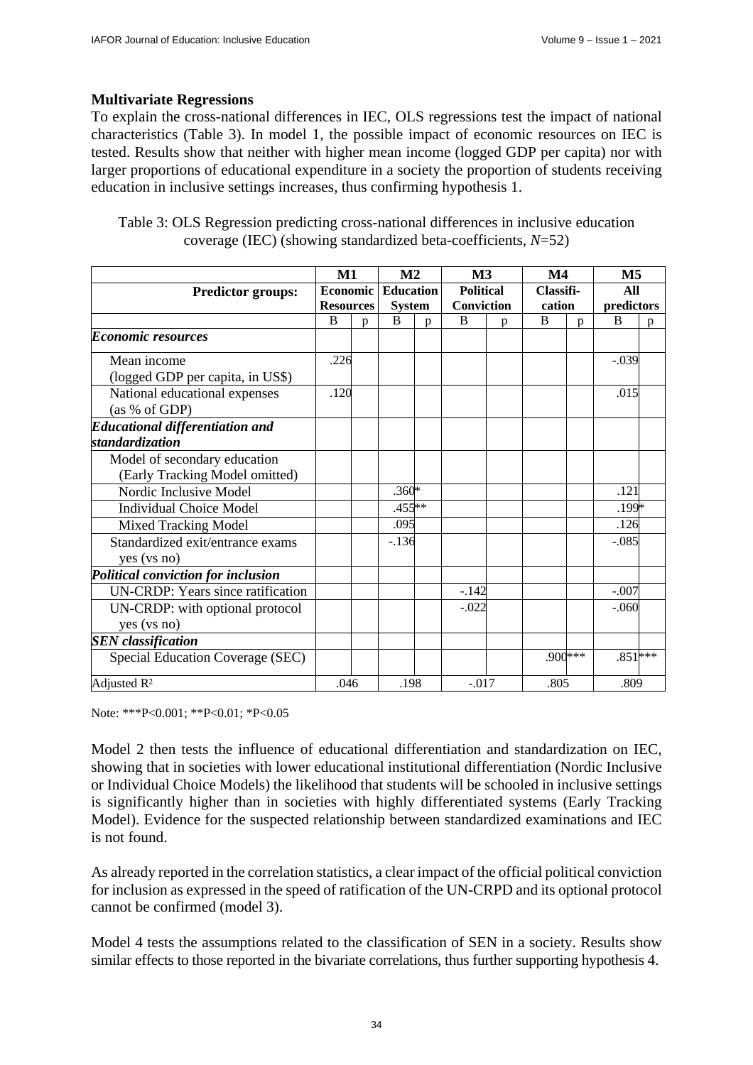## **Multivariate Regressions**

To explain the cross-national differences in IEC, OLS regressions test the impact of national characteristics (Table 3). In model 1, the possible impact of economic resources on IEC is tested. Results show that neither with higher mean income (logged GDP per capita) nor with larger proportions of educational expenditure in a society the proportion of students receiving education in inclusive settings increases, thus confirming hypothesis 1.

| Table 3: OLS Regression predicting cross-national differences in inclusive education |
|--------------------------------------------------------------------------------------|
| coverage (IEC) (showing standardized beta-coefficients, $N=52$ )                     |

|                                           | $\mathbf{M1}$ |                  | M <sub>2</sub> |                  | M3      |                   | $\mathbf{M}4$ |           | M5        |            |  |
|-------------------------------------------|---------------|------------------|----------------|------------------|---------|-------------------|---------------|-----------|-----------|------------|--|
| <b>Predictor groups:</b>                  |               | <b>Economic</b>  |                | <b>Education</b> |         | <b>Political</b>  |               | Classifi- |           | All        |  |
|                                           |               | <b>Resources</b> |                | <b>System</b>    |         | <b>Conviction</b> |               | cation    |           | predictors |  |
|                                           | B             | D.               | B              | D.               | B       | p                 | <sub>B</sub>  | n         | B         | p          |  |
| <b>Economic resources</b>                 |               |                  |                |                  |         |                   |               |           |           |            |  |
| Mean income                               | .226          |                  |                |                  |         |                   |               |           | $-.039$   |            |  |
| (logged GDP per capita, in US\$)          |               |                  |                |                  |         |                   |               |           |           |            |  |
| National educational expenses             | .120          |                  |                |                  |         |                   |               |           | .015      |            |  |
| (as % of GDP)                             |               |                  |                |                  |         |                   |               |           |           |            |  |
| <b>Educational differentiation and</b>    |               |                  |                |                  |         |                   |               |           |           |            |  |
| standardization                           |               |                  |                |                  |         |                   |               |           |           |            |  |
| Model of secondary education              |               |                  |                |                  |         |                   |               |           |           |            |  |
| (Early Tracking Model omitted)            |               |                  |                |                  |         |                   |               |           |           |            |  |
| Nordic Inclusive Model                    |               |                  | $.360*$        |                  |         |                   |               |           | .121      |            |  |
| <b>Individual Choice Model</b>            |               |                  | $.455**$       |                  |         |                   |               |           | .199*     |            |  |
| <b>Mixed Tracking Model</b>               |               |                  | .095           |                  |         |                   |               |           | .126      |            |  |
| Standardized exit/entrance exams          |               |                  | $-.136$        |                  |         |                   |               |           | $-.085$   |            |  |
| yes (vs no)                               |               |                  |                |                  |         |                   |               |           |           |            |  |
| <b>Political conviction for inclusion</b> |               |                  |                |                  |         |                   |               |           |           |            |  |
| <b>UN-CRDP:</b> Years since ratification  |               |                  |                |                  | $-.142$ |                   |               |           | $-.007$   |            |  |
| UN-CRDP: with optional protocol           |               |                  |                |                  | $-.022$ |                   |               |           | $-.060$   |            |  |
| yes (vs no)                               |               |                  |                |                  |         |                   |               |           |           |            |  |
| <b>SEN</b> classification                 |               |                  |                |                  |         |                   |               |           |           |            |  |
| Special Education Coverage (SEC)          |               |                  |                |                  |         |                   |               | $.900***$ | $.851***$ |            |  |
| Adjusted $R^2$                            |               | .046             |                | .198             |         | $-.017$           |               | .805      |           | .809       |  |

Note: \*\*\*P<0.001; \*\*P<0.01; \*P<0.05

Model 2 then tests the influence of educational differentiation and standardization on IEC, showing that in societies with lower educational institutional differentiation (Nordic Inclusive or Individual Choice Models) the likelihood that students will be schooled in inclusive settings is significantly higher than in societies with highly differentiated systems (Early Tracking Model). Evidence for the suspected relationship between standardized examinations and IEC is not found.

As already reported in the correlation statistics, a clear impact of the official political conviction for inclusion as expressed in the speed of ratification of the UN-CRPD and its optional protocol cannot be confirmed (model 3).

Model 4 tests the assumptions related to the classification of SEN in a society. Results show similar effects to those reported in the bivariate correlations, thus further supporting hypothesis 4.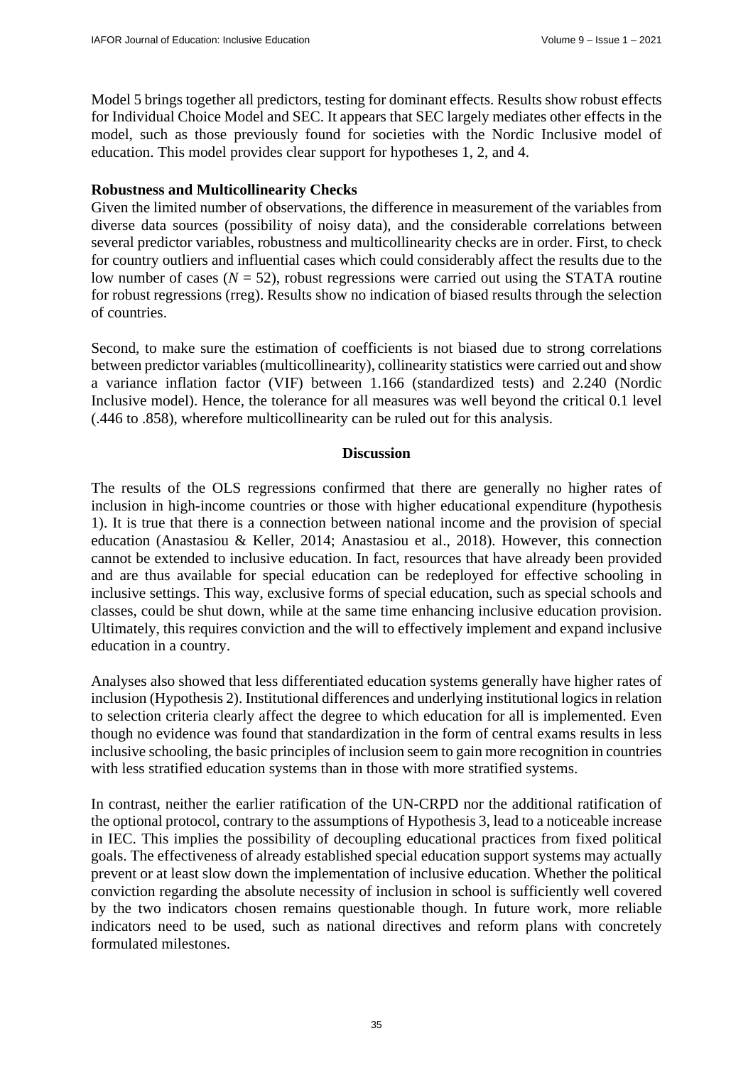Model 5 brings together all predictors, testing for dominant effects. Results show robust effects for Individual Choice Model and SEC. It appears that SEC largely mediates other effects in the model, such as those previously found for societies with the Nordic Inclusive model of education. This model provides clear support for hypotheses 1, 2, and 4.

## **Robustness and Multicollinearity Checks**

Given the limited number of observations, the difference in measurement of the variables from diverse data sources (possibility of noisy data), and the considerable correlations between several predictor variables, robustness and multicollinearity checks are in order. First, to check for country outliers and influential cases which could considerably affect the results due to the low number of cases  $(N = 52)$ , robust regressions were carried out using the STATA routine for robust regressions (rreg). Results show no indication of biased results through the selection of countries.

Second, to make sure the estimation of coefficients is not biased due to strong correlations between predictor variables (multicollinearity), collinearity statistics were carried out and show a variance inflation factor (VIF) between 1.166 (standardized tests) and 2.240 (Nordic Inclusive model). Hence, the tolerance for all measures was well beyond the critical 0.1 level (.446 to .858), wherefore multicollinearity can be ruled out for this analysis.

## **Discussion**

The results of the OLS regressions confirmed that there are generally no higher rates of inclusion in high-income countries or those with higher educational expenditure (hypothesis 1). It is true that there is a connection between national income and the provision of special education (Anastasiou & Keller, 2014; Anastasiou et al., 2018). However, this connection cannot be extended to inclusive education. In fact, resources that have already been provided and are thus available for special education can be redeployed for effective schooling in inclusive settings. This way, exclusive forms of special education, such as special schools and classes, could be shut down, while at the same time enhancing inclusive education provision. Ultimately, this requires conviction and the will to effectively implement and expand inclusive education in a country.

Analyses also showed that less differentiated education systems generally have higher rates of inclusion (Hypothesis 2). Institutional differences and underlying institutional logics in relation to selection criteria clearly affect the degree to which education for all is implemented. Even though no evidence was found that standardization in the form of central exams results in less inclusive schooling, the basic principles of inclusion seem to gain more recognition in countries with less stratified education systems than in those with more stratified systems.

In contrast, neither the earlier ratification of the UN-CRPD nor the additional ratification of the optional protocol, contrary to the assumptions of Hypothesis 3, lead to a noticeable increase in IEC. This implies the possibility of decoupling educational practices from fixed political goals. The effectiveness of already established special education support systems may actually prevent or at least slow down the implementation of inclusive education. Whether the political conviction regarding the absolute necessity of inclusion in school is sufficiently well covered by the two indicators chosen remains questionable though. In future work, more reliable indicators need to be used, such as national directives and reform plans with concretely formulated milestones.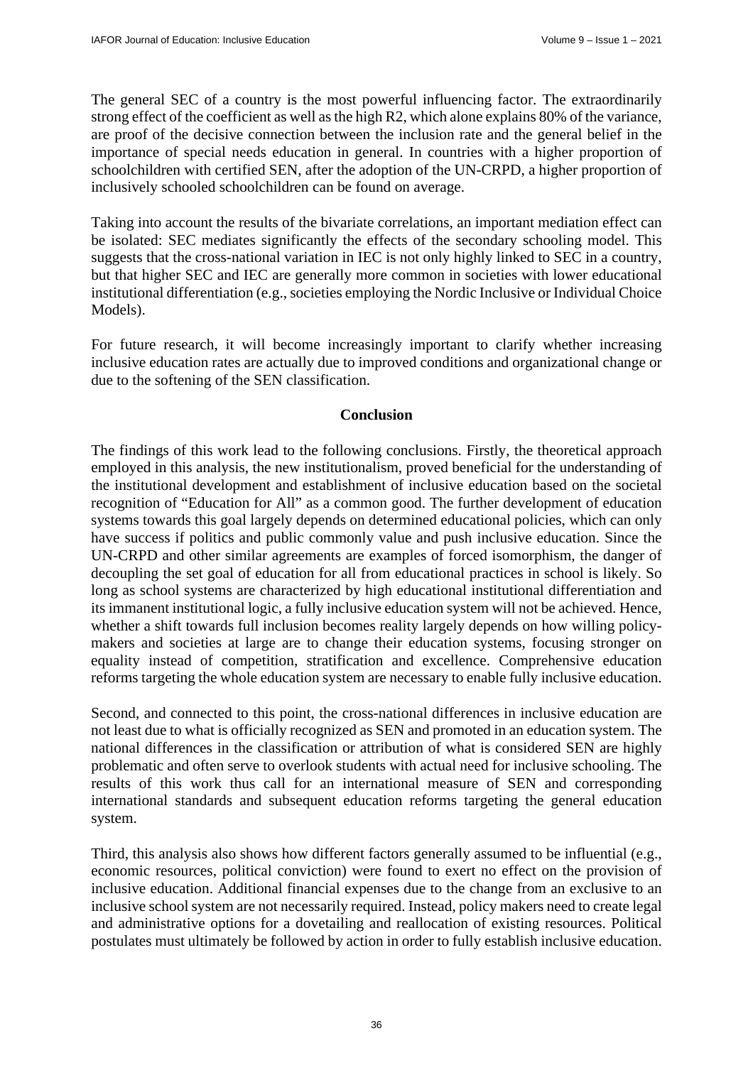The general SEC of a country is the most powerful influencing factor. The extraordinarily strong effect of the coefficient as well as the high R2, which alone explains 80% of the variance, are proof of the decisive connection between the inclusion rate and the general belief in the importance of special needs education in general. In countries with a higher proportion of schoolchildren with certified SEN, after the adoption of the UN-CRPD, a higher proportion of inclusively schooled schoolchildren can be found on average.

Taking into account the results of the bivariate correlations, an important mediation effect can be isolated: SEC mediates significantly the effects of the secondary schooling model. This suggests that the cross-national variation in IEC is not only highly linked to SEC in a country, but that higher SEC and IEC are generally more common in societies with lower educational institutional differentiation (e.g., societies employing the Nordic Inclusive or Individual Choice Models).

For future research, it will become increasingly important to clarify whether increasing inclusive education rates are actually due to improved conditions and organizational change or due to the softening of the SEN classification.

## **Conclusion**

The findings of this work lead to the following conclusions. Firstly, the theoretical approach employed in this analysis, the new institutionalism, proved beneficial for the understanding of the institutional development and establishment of inclusive education based on the societal recognition of "Education for All" as a common good. The further development of education systems towards this goal largely depends on determined educational policies, which can only have success if politics and public commonly value and push inclusive education. Since the UN-CRPD and other similar agreements are examples of forced isomorphism, the danger of decoupling the set goal of education for all from educational practices in school is likely. So long as school systems are characterized by high educational institutional differentiation and its immanent institutional logic, a fully inclusive education system will not be achieved. Hence, whether a shift towards full inclusion becomes reality largely depends on how willing policymakers and societies at large are to change their education systems, focusing stronger on equality instead of competition, stratification and excellence. Comprehensive education reforms targeting the whole education system are necessary to enable fully inclusive education.

Second, and connected to this point, the cross-national differences in inclusive education are not least due to what is officially recognized as SEN and promoted in an education system. The national differences in the classification or attribution of what is considered SEN are highly problematic and often serve to overlook students with actual need for inclusive schooling. The results of this work thus call for an international measure of SEN and corresponding international standards and subsequent education reforms targeting the general education system.

Third, this analysis also shows how different factors generally assumed to be influential (e.g., economic resources, political conviction) were found to exert no effect on the provision of inclusive education. Additional financial expenses due to the change from an exclusive to an inclusive school system are not necessarily required. Instead, policy makers need to create legal and administrative options for a dovetailing and reallocation of existing resources. Political postulates must ultimately be followed by action in order to fully establish inclusive education.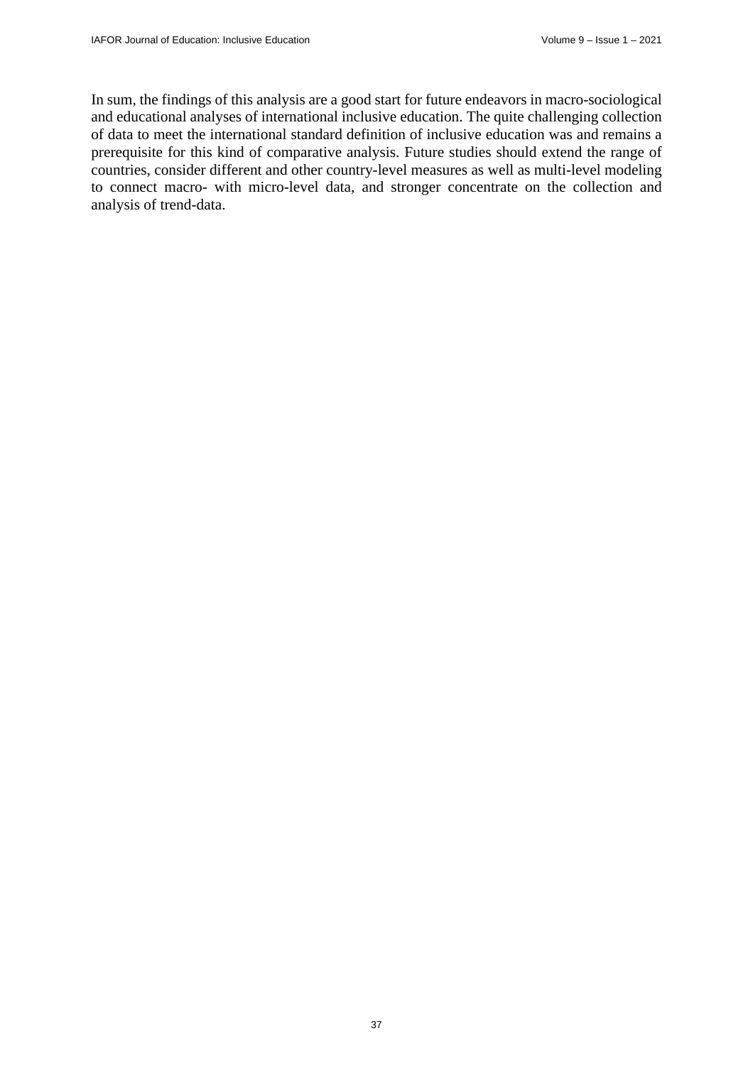In sum, the findings of this analysis are a good start for future endeavors in macro-sociological and educational analyses of international inclusive education. The quite challenging collection of data to meet the international standard definition of inclusive education was and remains a prerequisite for this kind of comparative analysis. Future studies should extend the range of countries, consider different and other country-level measures as well as multi-level modeling to connect macro- with micro-level data, and stronger concentrate on the collection and analysis of trend-data.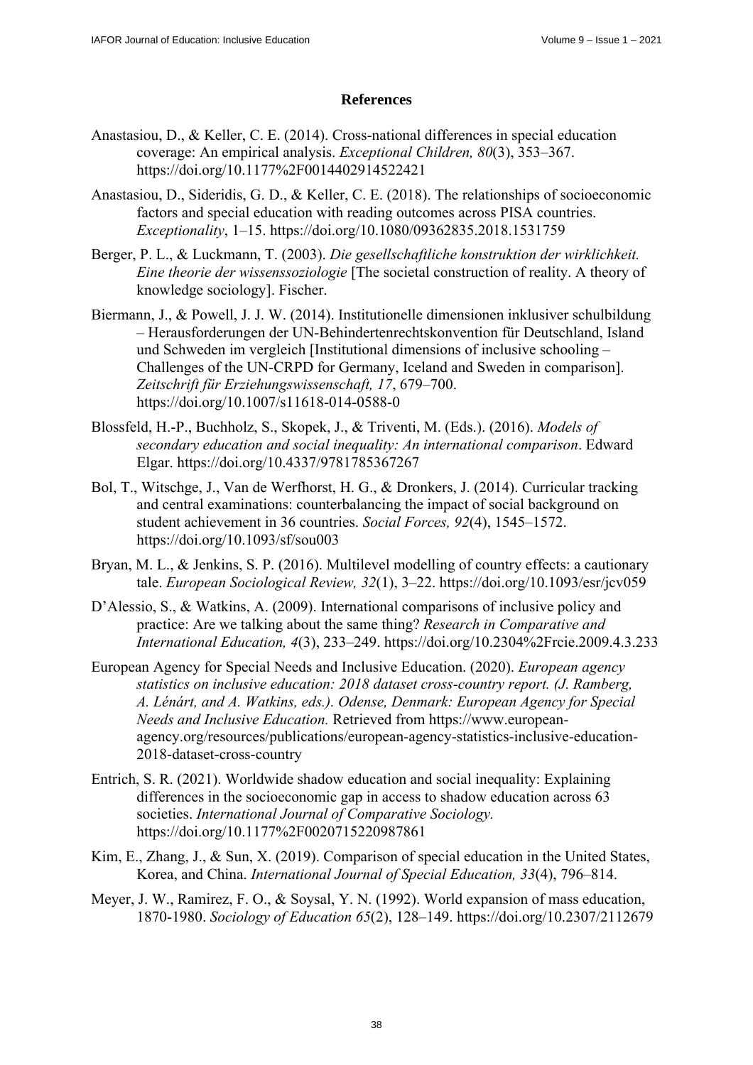### **References**

- Anastasiou, D., & Keller, C. E. (2014). Cross-national differences in special education coverage: An empirical analysis. *Exceptional Children, 80*(3), 353–367. <https://doi.org/10.1177%2F0014402914522421>
- Anastasiou, D., Sideridis, G. D., & Keller, C. E. (2018). The relationships of socioeconomic factors and special education with reading outcomes across PISA countries. *Exceptionality*, 1–15.<https://doi.org/10.1080/09362835.2018.1531759>
- Berger, P. L., & Luckmann, T. (2003). *Die gesellschaftliche konstruktion der wirklichkeit. Eine theorie der wissenssoziologie* [The societal construction of reality. A theory of knowledge sociology]. Fischer.
- Biermann, J., & Powell, J. J. W. (2014). Institutionelle dimensionen inklusiver schulbildung – Herausforderungen der UN-Behindertenrechtskonvention für Deutschland, Island und Schweden im vergleich [Institutional dimensions of inclusive schooling – Challenges of the UN-CRPD for Germany, Iceland and Sweden in comparison]. *Zeitschrift für Erziehungswissenschaft, 17*, 679–700. <https://doi.org/10.1007/s11618-014-0588-0>
- Blossfeld, H.-P., Buchholz, S., Skopek, J., & Triventi, M. (Eds.). (2016). *Models of secondary education and social inequality: An international comparison*. Edward Elgar. <https://doi.org/10.4337/9781785367267>
- Bol, T., Witschge, J., Van de Werfhorst, H. G., & Dronkers, J. (2014). Curricular tracking and central examinations: counterbalancing the impact of social background on student achievement in 36 countries. *Social Forces, 92*(4), 1545–1572. <https://doi.org/10.1093/sf/sou003>
- Bryan, M. L., & Jenkins, S. P. (2016). Multilevel modelling of country effects: a cautionary tale. *European Sociological Review, 32*(1), 3–22.<https://doi.org/10.1093/esr/jcv059>
- D'Alessio, S., & Watkins, A. (2009). International comparisons of inclusive policy and practice: Are we talking about the same thing? *Research in Comparative and International Education, 4*(3), 233–249. <https://doi.org/10.2304%2Frcie.2009.4.3.233>
- European Agency for Special Needs and Inclusive Education. (2020). *European agency statistics on inclusive education: 2018 dataset cross-country report. (J. Ramberg, A. Lénárt, and A. Watkins, eds.). Odense, Denmark: European Agency for Special Needs and Inclusive Education.* Retrieved from [https://www.eur](https://www.european-agency.org/resources/publications/european-agency-statistics-inclusive-education-2018-dataset-cross-country)opean[agency.org/resources/publications/european-agency-statistics-inclusive-education-](https://www.european-agency.org/resources/publications/european-agency-statistics-inclusive-education-2018-dataset-cross-country)[2018-dataset-cross-country](https://www.european-agency.org/resources/publications/european-agency-statistics-inclusive-education-2018-dataset-cross-country)
- Entrich, S. R. (2021). Worldwide shadow education and social inequality: Explaining differences in the socioeconomic gap in access to shadow education across 63 societies. *International Journal of Comparative Sociology.*  <https://doi.org/10.1177%2F0020715220987861>
- Kim, E., Zhang, J., & Sun, X. (2019). Comparison of special education in the United States, Korea, and China. *International Journal of Special Education, 33*(4), 796–814.
- Meyer, J. W., Ramirez, F. O., & Soysal, Y. N. (1992). World expansion of mass education, 1870-1980. *Sociology of Education 65*(2), 128–149. <https://doi.org/10.2307/2112679>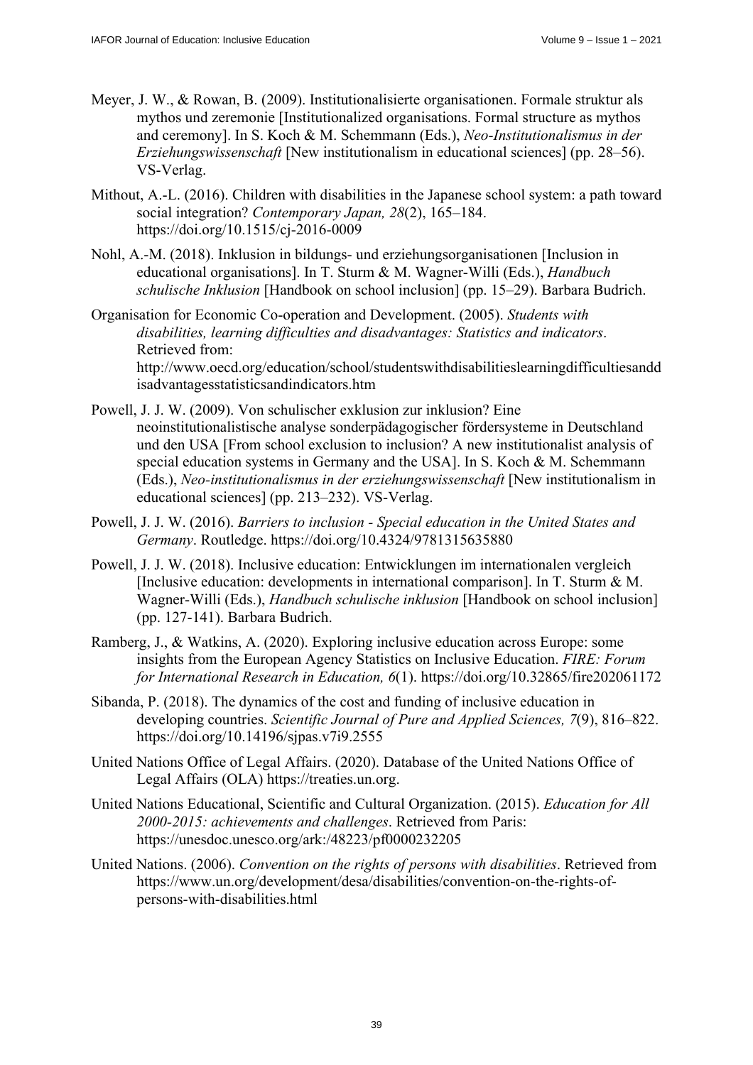- Meyer, J. W., & Rowan, B. (2009). Institutionalisierte organisationen. Formale struktur als mythos und zeremonie [Institutionalized organisations. Formal structure as mythos and ceremony]. In S. Koch & M. Schemmann (Eds.), *Neo-Institutionalismus in der Erziehungswissenschaft* [New institutionalism in educational sciences] (pp. 28–56). VS-Verlag.
- Mithout, A.-L. (2016). Children with disabilities in the Japanese school system: a path toward social integration? *Contemporary Japan, 28*(2), 165–184. <https://doi.org/10.1515/cj-2016-0009>
- Nohl, A.-M. (2018). Inklusion in bildungs- und erziehungsorganisationen [Inclusion in educational organisations]. In T. Sturm & M. Wagner-Willi (Eds.), *Handbuch schulische Inklusion* [Handbook on school inclusion] (pp. 15–29). Barbara Budrich.
- Organisation for Economic Co-operation and Development. (2005). *Students with disabilities, learning difficulties and disadvantages: Statistics and indicators*. Retrieved from: <http://www.oecd.org/education/school/studentswithdisabilitieslearningdifficultiesandd>

isadvantagesstatisticsandindicators.htm

- Powell, J. J. W. (2009). Von schulischer exklusion zur inklusion? Eine neoinstitutionalistische analyse sonderpädagogischer fördersysteme in Deutschland und den USA [From school exclusion to inclusion? A new institutionalist analysis of special education systems in Germany and the USA]. In S. Koch & M. Schemmann (Eds.), *Neo-institutionalismus in der erziehungswissenschaft* [New institutionalism in educational sciences] (pp. 213–232). VS-Verlag.
- Powell, J. J. W. (2016). *Barriers to inclusion Special education in the United States and Germany*. Routledge. <https://doi.org/10.4324/9781315635880>
- Powell, J. J. W. (2018). Inclusive education: Entwicklungen im internationalen vergleich [Inclusive education: developments in international comparison]. In T. Sturm & M. Wagner-Willi (Eds.), *Handbuch schulische inklusion* [Handbook on school inclusion] (pp. 127-141). Barbara Budrich.
- Ramberg, J., & Watkins, A. (2020). Exploring inclusive education across Europe: some insights from the European Agency Statistics on Inclusive Education. *FIRE: Forum for International Research in Education, 6*(1). https://doi.org/10.32865/fire202061172
- Sibanda, P. (2018). The dynamics of the cost and funding of inclusive education in developing countries. *Scientific Journal of Pure and Applied Sciences, 7*(9), 816–822. <https://doi.org/10.14196/sjpas.v7i9.2555>
- United Nations Office of Legal Affairs. (2020). Database of the United Nations Office of Legal Affairs (OLA) [https://treaties.un.org.](https://treaties.un.org)
- United Nations Educational, Scientific and Cultural Organization. (2015). *Education for All 2000-2015: achievements and challenges*. Retrieved from Paris: <https://unesdoc.unesco.org/ark:/48223/pf0000232205>
- United Nations. (2006). *Convention on the rights of persons with disabilities*. Retrieved from [https://www.un.org/development/desa/disabilities/convention-on-the-rights-of](https://www.un.org/development/desa/disabilities/convention-on-the-rights-of-persons-with-disabilities.html)persons-[with-disabilities.html](https://www.un.org/development/desa/disabilities/convention-on-the-rights-of-persons-with-disabilities.html)